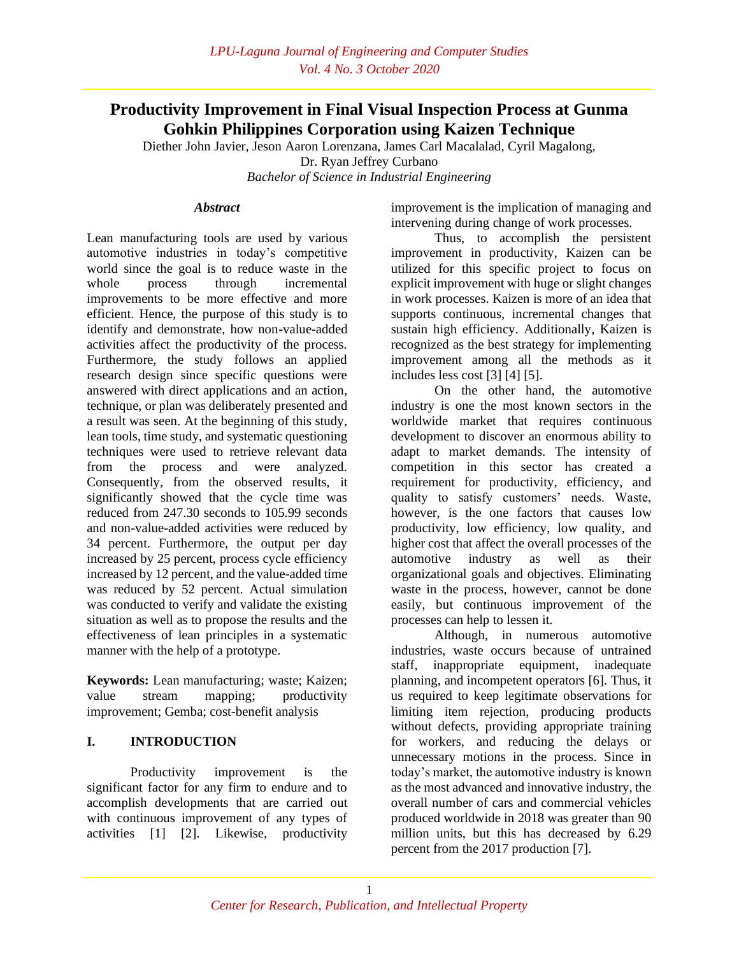# **Productivity Improvement in Final Visual Inspection Process at Gunma Gohkin Philippines Corporation using Kaizen Technique**

Diether John Javier, Jeson Aaron Lorenzana, James Carl Macalalad, Cyril Magalong, Dr. Ryan Jeffrey Curbano

*Bachelor of Science in Industrial Engineering*

## *Abstract*

Lean manufacturing tools are used by various automotive industries in today's competitive world since the goal is to reduce waste in the whole process through incremental improvements to be more effective and more efficient. Hence, the purpose of this study is to identify and demonstrate, how non-value-added activities affect the productivity of the process. Furthermore, the study follows an applied research design since specific questions were answered with direct applications and an action, technique, or plan was deliberately presented and a result was seen. At the beginning of this study, lean tools, time study, and systematic questioning techniques were used to retrieve relevant data from the process and were analyzed. Consequently, from the observed results, it significantly showed that the cycle time was reduced from 247.30 seconds to 105.99 seconds and non-value-added activities were reduced by 34 percent. Furthermore, the output per day increased by 25 percent, process cycle efficiency increased by 12 percent, and the value-added time was reduced by 52 percent. Actual simulation was conducted to verify and validate the existing situation as well as to propose the results and the effectiveness of lean principles in a systematic manner with the help of a prototype.

**Keywords:** Lean manufacturing; waste; Kaizen; value stream mapping; productivity improvement; Gemba; cost-benefit analysis

# **I. INTRODUCTION**

Productivity improvement is the significant factor for any firm to endure and to accomplish developments that are carried out with continuous improvement of any types of activities [1] [2]. Likewise, productivity

improvement is the implication of managing and intervening during change of work processes.

Thus, to accomplish the persistent improvement in productivity, Kaizen can be utilized for this specific project to focus on explicit improvement with huge or slight changes in work processes. Kaizen is more of an idea that supports continuous, incremental changes that sustain high efficiency. Additionally, Kaizen is recognized as the best strategy for implementing improvement among all the methods as it includes less cost [3] [4] [5].

On the other hand, the automotive industry is one the most known sectors in the worldwide market that requires continuous development to discover an enormous ability to adapt to market demands. The intensity of competition in this sector has created a requirement for productivity, efficiency, and quality to satisfy customers' needs. Waste, however, is the one factors that causes low productivity, low efficiency, low quality, and higher cost that affect the overall processes of the automotive industry as well as their organizational goals and objectives. Eliminating waste in the process, however, cannot be done easily, but continuous improvement of the processes can help to lessen it.

Although, in numerous automotive industries, waste occurs because of untrained staff, inappropriate equipment, inadequate planning, and incompetent operators [6]. Thus, it us required to keep legitimate observations for limiting item rejection, producing products without defects, providing appropriate training for workers, and reducing the delays or unnecessary motions in the process. Since in today's market, the automotive industry is known as the most advanced and innovative industry, the overall number of cars and commercial vehicles produced worldwide in 2018 was greater than 90 million units, but this has decreased by 6.29 percent from the 2017 production [7].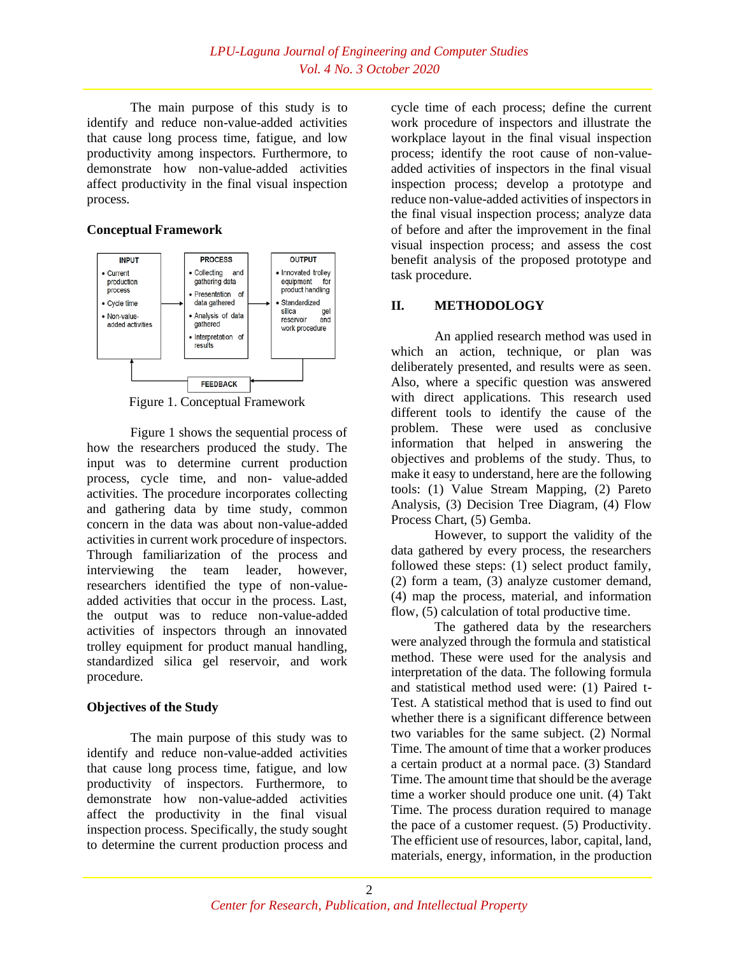The main purpose of this study is to identify and reduce non-value-added activities that cause long process time, fatigue, and low productivity among inspectors. Furthermore, to demonstrate how non-value-added activities affect productivity in the final visual inspection process.

# **Conceptual Framework**



Figure 1. Conceptual Framework

Figure 1 shows the sequential process of how the researchers produced the study. The input was to determine current production process, cycle time, and non- value-added activities. The procedure incorporates collecting and gathering data by time study, common concern in the data was about non-value-added activities in current work procedure of inspectors. Through familiarization of the process and interviewing the team leader, however, researchers identified the type of non-valueadded activities that occur in the process. Last, the output was to reduce non-value-added activities of inspectors through an innovated trolley equipment for product manual handling, standardized silica gel reservoir, and work procedure.

# **Objectives of the Study**

The main purpose of this study was to identify and reduce non-value-added activities that cause long process time, fatigue, and low productivity of inspectors. Furthermore, to demonstrate how non-value-added activities affect the productivity in the final visual inspection process. Specifically, the study sought to determine the current production process and

cycle time of each process; define the current work procedure of inspectors and illustrate the workplace layout in the final visual inspection process; identify the root cause of non-valueadded activities of inspectors in the final visual inspection process; develop a prototype and reduce non-value-added activities of inspectors in the final visual inspection process; analyze data of before and after the improvement in the final visual inspection process; and assess the cost benefit analysis of the proposed prototype and task procedure.

# **II. METHODOLOGY**

An applied research method was used in which an action, technique, or plan was deliberately presented, and results were as seen. Also, where a specific question was answered with direct applications. This research used different tools to identify the cause of the problem. These were used as conclusive information that helped in answering the objectives and problems of the study. Thus, to make it easy to understand, here are the following tools: (1) Value Stream Mapping, (2) Pareto Analysis, (3) Decision Tree Diagram, (4) Flow Process Chart, (5) Gemba.

However, to support the validity of the data gathered by every process, the researchers followed these steps: (1) select product family, (2) form a team, (3) analyze customer demand, (4) map the process, material, and information flow, (5) calculation of total productive time.

The gathered data by the researchers were analyzed through the formula and statistical method. These were used for the analysis and interpretation of the data. The following formula and statistical method used were: (1) Paired t-Test. A statistical method that is used to find out whether there is a significant difference between two variables for the same subject. (2) Normal Time. The amount of time that a worker produces a certain product at a normal pace. (3) Standard Time. The amount time that should be the average time a worker should produce one unit. (4) Takt Time. The process duration required to manage the pace of a customer request. (5) Productivity. The efficient use of resources, labor, capital, land, materials, energy, information, in the production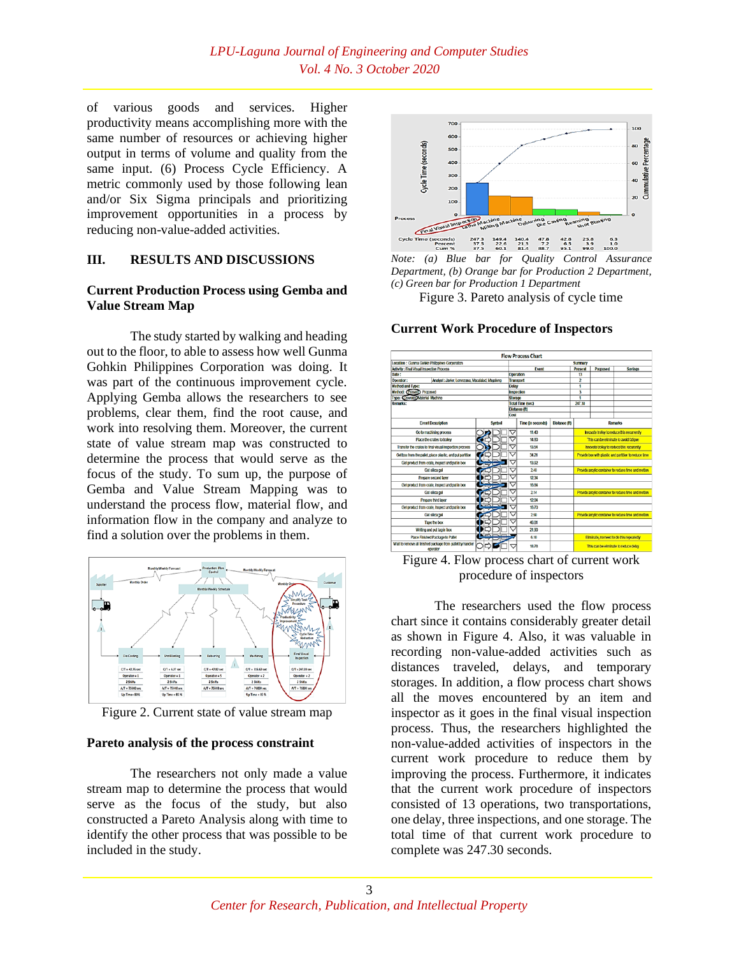of various goods and services. Higher productivity means accomplishing more with the same number of resources or achieving higher output in terms of volume and quality from the same input. (6) Process Cycle Efficiency. A metric commonly used by those following lean and/or Six Sigma principals and prioritizing improvement opportunities in a process by reducing non-value-added activities.

### **III. RESULTS AND DISCUSSIONS**

### **Current Production Process using Gemba and Value Stream Map**

The study started by walking and heading out to the floor, to able to assess how well Gunma Gohkin Philippines Corporation was doing. It was part of the continuous improvement cycle. Applying Gemba allows the researchers to see problems, clear them, find the root cause, and work into resolving them. Moreover, the current state of value stream map was constructed to determine the process that would serve as the focus of the study. To sum up, the purpose of Gemba and Value Stream Mapping was to understand the process flow, material flow, and information flow in the company and analyze to find a solution over the problems in them.



Figure 2. Current state of value stream map

#### **Pareto analysis of the process constraint**

The researchers not only made a value stream map to determine the process that would serve as the focus of the study, but also constructed a Pareto Analysis along with time to identify the other process that was possible to be included in the study.



*Note: (a) Blue bar for Quality Control Assurance Department, (b) Orange bar for Production 2 Department, (c) Green bar for Production 1 Department*

Figure 3. Pareto analysis of cycle time

#### **Flow Process Chart** ent Proposed Event Saving torage<br>otal Time (sec) v (R **Event Description**  $Time (in sec)$ Synbol nds) Distance (ft) Go to machining proces 11.40  $\frac{1}{1480}$ sfer the crates to final visual ins 13.54 **Bandal documents** and  $\overline{3421}$ 13.92  $\frac{1}{248}$ Call alling no 1234<br>16.84 Get silica gel  $\overline{214}$  $\frac{1}{128}$ Get silica gel 250 Tape the es 51 Writing and put tag is Place Finished Package to Pale 610 18.78 This can beef

#### **Current Work Procedure of Inspectors**

Figure 4. Flow process chart of current work procedure of inspectors

The researchers used the flow process chart since it contains considerably greater detail as shown in Figure 4. Also, it was valuable in recording non-value-added activities such as distances traveled, delays, and temporary storages. In addition, a flow process chart shows all the moves encountered by an item and inspector as it goes in the final visual inspection process. Thus, the researchers highlighted the non-value-added activities of inspectors in the current work procedure to reduce them by improving the process. Furthermore, it indicates that the current work procedure of inspectors consisted of 13 operations, two transportations, one delay, three inspections, and one storage. The total time of that current work procedure to complete was 247.30 seconds.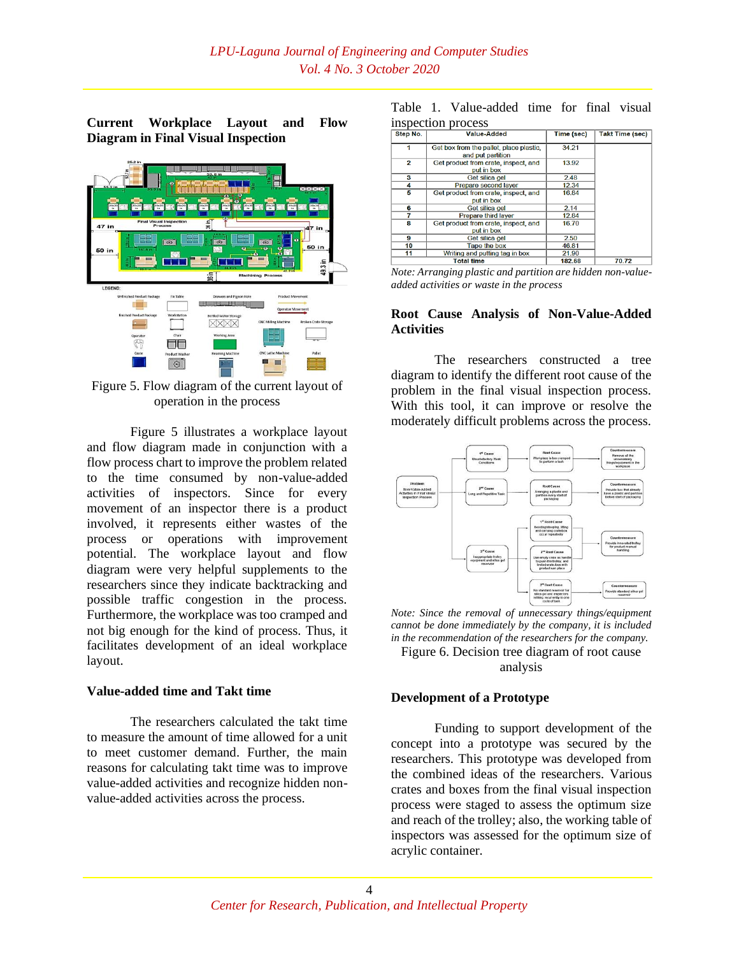**Current Workplace Layout and Flow Diagram in Final Visual Inspection**



Figure 5. Flow diagram of the current layout of operation in the process

Figure 5 illustrates a workplace layout and flow diagram made in conjunction with a flow process chart to improve the problem related to the time consumed by non-value-added activities of inspectors. Since for every movement of an inspector there is a product involved, it represents either wastes of the process or operations with improvement potential. The workplace layout and flow diagram were very helpful supplements to the researchers since they indicate backtracking and possible traffic congestion in the process. Furthermore, the workplace was too cramped and not big enough for the kind of process. Thus, it facilitates development of an ideal workplace layout.

### **Value-added time and Takt time**

The researchers calculated the takt time to measure the amount of time allowed for a unit to meet customer demand. Further, the main reasons for calculating takt time was to improve value-added activities and recognize hidden nonvalue-added activities across the process.

|  | Table 1. Value-added time for final visual |  |  |
|--|--------------------------------------------|--|--|
|  | inspection process                         |  |  |

| Step No. | <b>Value-Added</b>                                           | Time (sec) | <b>Takt Time (sec)</b> |
|----------|--------------------------------------------------------------|------------|------------------------|
|          | Get box from the pallet, place plastic,<br>and put partition | 34.21      |                        |
| 2        | Get product from crate, inspect, and<br>put in box           | 13.92      |                        |
| з        | Get silica gel                                               | 2.48       |                        |
|          | Prepare second layer                                         | 12.34      |                        |
| 5        | Get product from crate, inspect, and<br>put in box           | 16.84      |                        |
| 6        | Get silica gel                                               | 2.14       |                        |
| 7        | Prepare third layer                                          | 12.84      |                        |
| 8        | Get product from crate, inspect, and<br>put in box           | 16.70      |                        |
| 9        | Get silica gel                                               | 2.50       |                        |
| 10       | Tape the box                                                 | 46.81      |                        |
| 11       | Writing and putting tag in box                               | 21.90      |                        |
|          | <b>Total time</b>                                            | 182.68     | 70.72                  |

*Note: Arranging plastic and partition are hidden non-valueadded activities or waste in the process*

#### **Root Cause Analysis of Non-Value-Added Activities**

The researchers constructed a tree diagram to identify the different root cause of the problem in the final visual inspection process. With this tool, it can improve or resolve the moderately difficult problems across the process.



*Note: Since the removal of unnecessary things/equipment cannot be done immediately by the company, it is included in the recommendation of the researchers for the company.* Figure 6. Decision tree diagram of root cause

analysis

#### **Development of a Prototype**

Funding to support development of the concept into a prototype was secured by the researchers. This prototype was developed from the combined ideas of the researchers. Various crates and boxes from the final visual inspection process were staged to assess the optimum size and reach of the trolley; also, the working table of inspectors was assessed for the optimum size of acrylic container.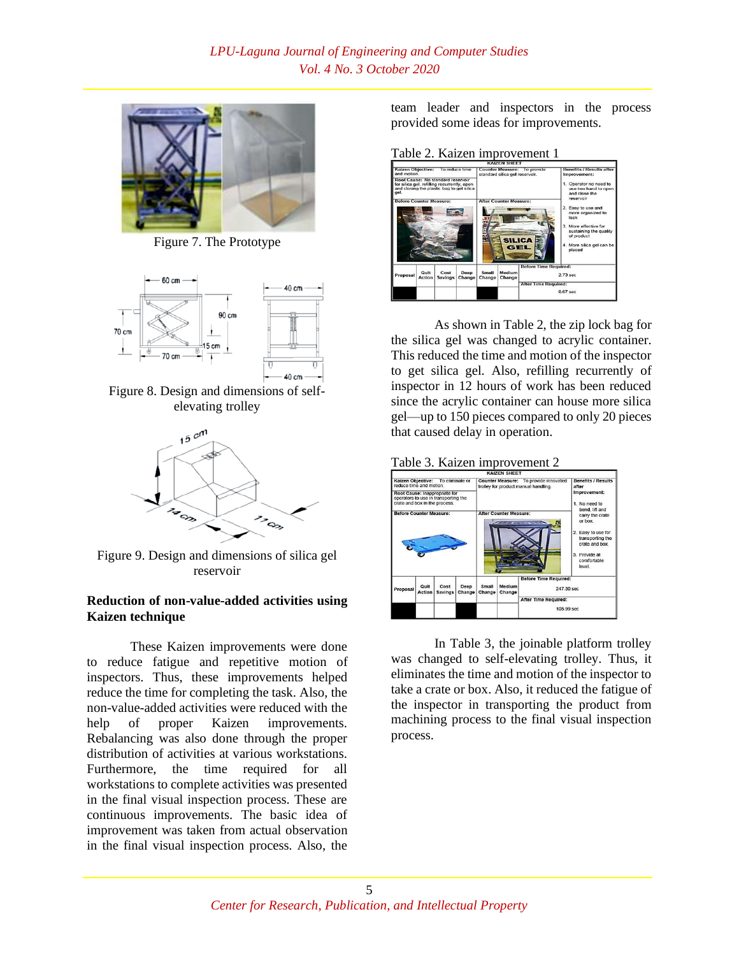

Figure 7. The Prototype



Figure 8. Design and dimensions of selfelevating trolley



Figure 9. Design and dimensions of silica gel reservoir

# **Reduction of non-value-added activities using Kaizen technique**

These Kaizen improvements were done to reduce fatigue and repetitive motion of inspectors. Thus, these improvements helped reduce the time for completing the task. Also, the non-value-added activities were reduced with the help of proper Kaizen improvements. Rebalancing was also done through the proper distribution of activities at various workstations. Furthermore, the time required for all workstations to complete activities was presented in the final visual inspection process. These are continuous improvements. The basic idea of improvement was taken from actual observation in the final visual inspection process. Also, the

team leader and inspectors in the process provided some ideas for improvements.

Table 2. Kaizen improvement 1



As shown in Table 2, the zip lock bag for the silica gel was changed to acrylic container. This reduced the time and motion of the inspector to get silica gel. Also, refilling recurrently of inspector in 12 hours of work has been reduced since the acrylic container can house more silica gel—up to 150 pieces compared to only 20 pieces that caused delay in operation.



In Table 3, the joinable platform trolley was changed to self-elevating trolley. Thus, it eliminates the time and motion of the inspector to take a crate or box. Also, it reduced the fatigue of the inspector in transporting the product from machining process to the final visual inspection process.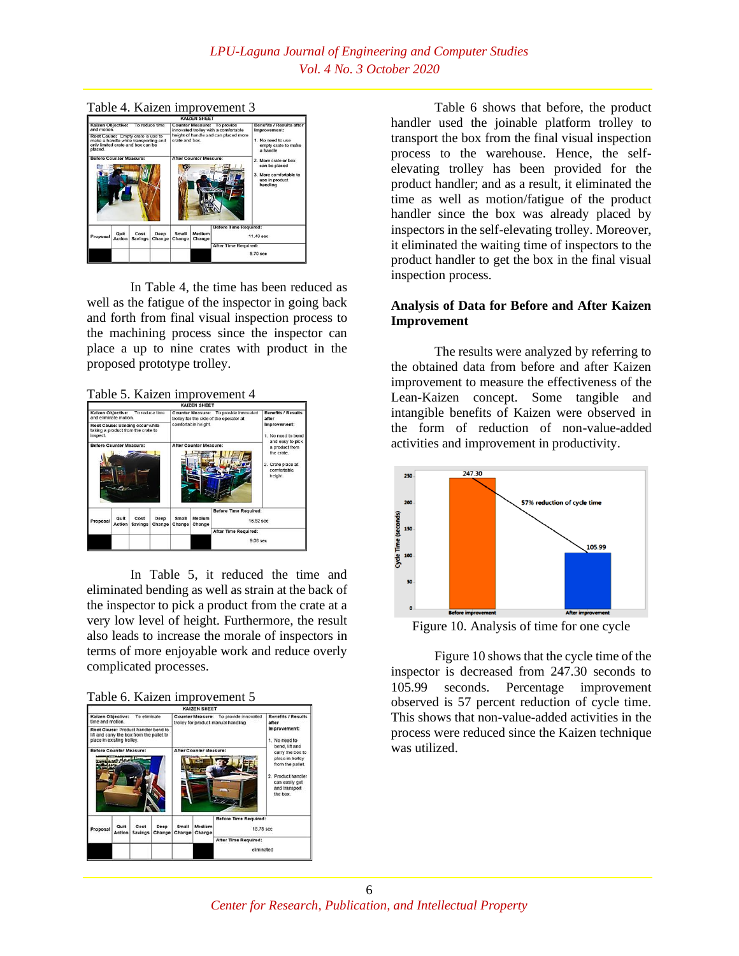

In Table 4, the time has been reduced as well as the fatigue of the inspector in going back and forth from final visual inspection process to the machining process since the inspector can place a up to nine crates with product in the proposed prototype trolley.

Table 5. Kaizen improvement 4



In Table 5, it reduced the time and eliminated bending as well as strain at the back of the inspector to pick a product from the crate at a very low level of height. Furthermore, the result also leads to increase the morale of inspectors in terms of more enjoyable work and reduce overly complicated processes.





Table 6 shows that before, the product handler used the joinable platform trolley to transport the box from the final visual inspection process to the warehouse. Hence, the selfelevating trolley has been provided for the product handler; and as a result, it eliminated the time as well as motion/fatigue of the product handler since the box was already placed by inspectors in the self-elevating trolley. Moreover, it eliminated the waiting time of inspectors to the product handler to get the box in the final visual inspection process.

# **Analysis of Data for Before and After Kaizen Improvement**

The results were analyzed by referring to the obtained data from before and after Kaizen improvement to measure the effectiveness of the Lean-Kaizen concept. Some tangible and intangible benefits of Kaizen were observed in the form of reduction of non-value-added activities and improvement in productivity.



Figure 10. Analysis of time for one cycle

Figure 10 shows that the cycle time of the inspector is decreased from 247.30 seconds to 105.99 seconds. Percentage improvement observed is 57 percent reduction of cycle time. This shows that non-value-added activities in the process were reduced since the Kaizen technique was utilized.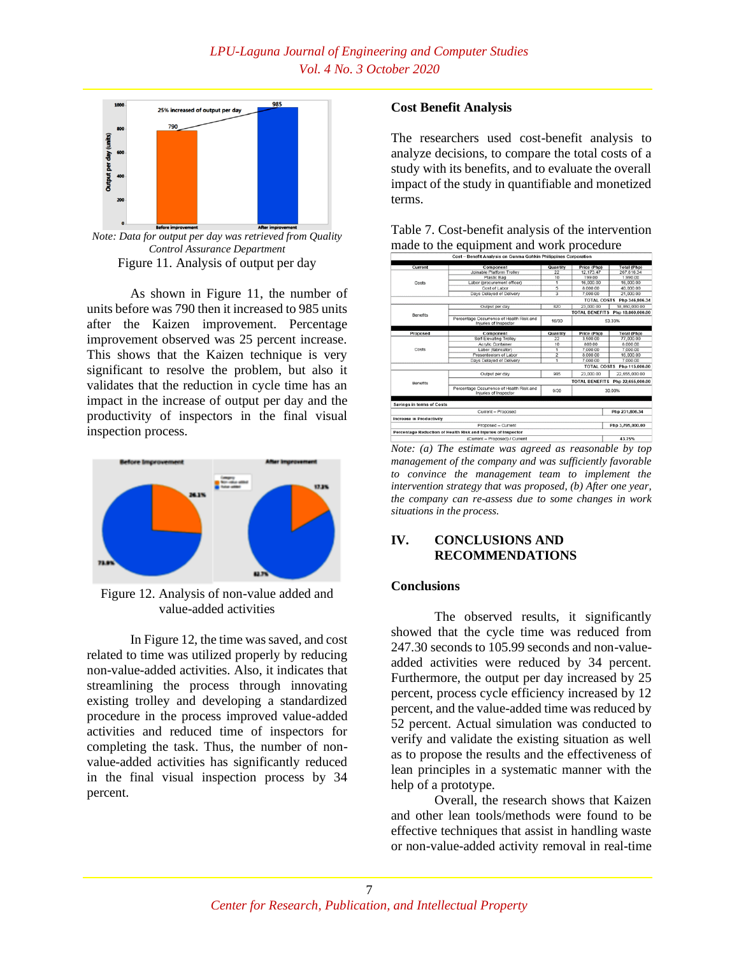

*Note: Data for output per day was retrieved from Quality Control Assurance Department* Figure 11. Analysis of output per day

As shown in Figure 11, the number of units before was 790 then it increased to 985 units after the Kaizen improvement. Percentage improvement observed was 25 percent increase. This shows that the Kaizen technique is very significant to resolve the problem, but also it validates that the reduction in cycle time has an impact in the increase of output per day and the productivity of inspectors in the final visual inspection process.



Figure 12. Analysis of non-value added and value-added activities

In Figure 12, the time was saved, and cost related to time was utilized properly by reducing non-value-added activities. Also, it indicates that streamlining the process through innovating existing trolley and developing a standardized procedure in the process improved value-added activities and reduced time of inspectors for completing the task. Thus, the number of nonvalue-added activities has significantly reduced in the final visual inspection process by 34 percent.

# **Cost Benefit Analysis**

The researchers used cost-benefit analysis to analyze decisions, to compare the total costs of a study with its benefits, and to evaluate the overall impact of the study in quantifiable and monetized terms.

| Table 7. Cost-benefit analysis of the intervention |
|----------------------------------------------------|
| made to the equipment and work procedure           |



*Note: (a) The estimate was agreed as reasonable by top management of the company and was sufficiently favorable to convince the management team to implement the intervention strategy that was proposed, (b) After one year, the company can re-assess due to some changes in work situations in the process.*

# **IV. CONCLUSIONS AND RECOMMENDATIONS**

#### **Conclusions**

The observed results, it significantly showed that the cycle time was reduced from 247.30 seconds to 105.99 seconds and non-valueadded activities were reduced by 34 percent. Furthermore, the output per day increased by 25 percent, process cycle efficiency increased by 12 percent, and the value-added time was reduced by 52 percent. Actual simulation was conducted to verify and validate the existing situation as well as to propose the results and the effectiveness of lean principles in a systematic manner with the help of a prototype.

Overall, the research shows that Kaizen and other lean tools/methods were found to be effective techniques that assist in handling waste or non-value-added activity removal in real-time